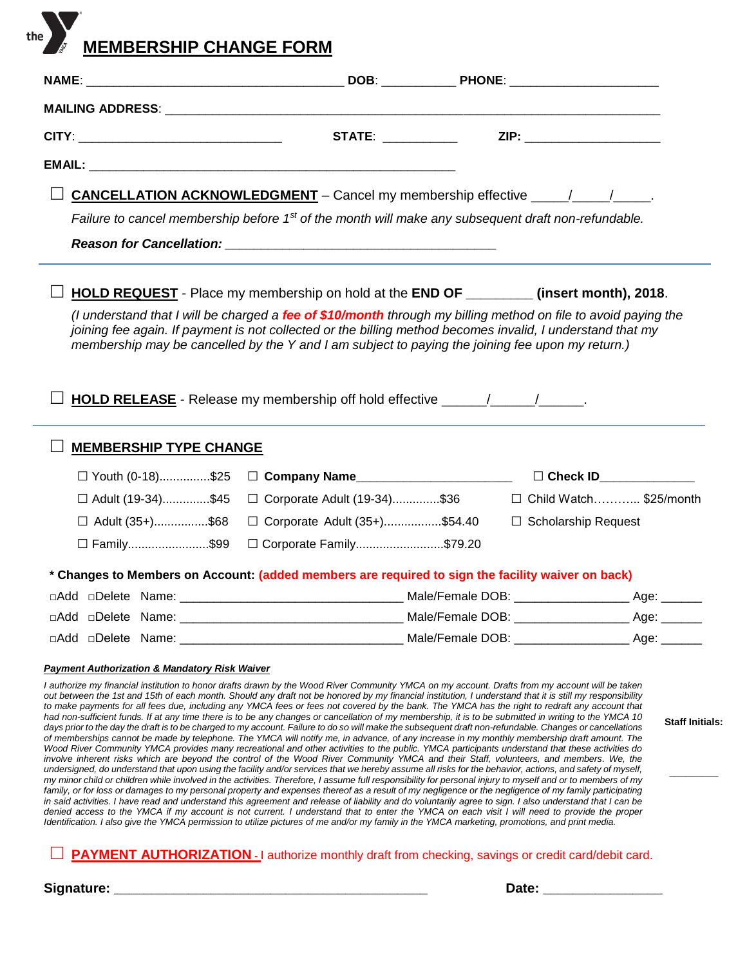**MEMBERSHIP CHANGE FORM** 

|                                                          | <b>STATE:</b> ___________                                                                                                                                                                                                                                                                                                        | ZIP: _______________________ |
|----------------------------------------------------------|----------------------------------------------------------------------------------------------------------------------------------------------------------------------------------------------------------------------------------------------------------------------------------------------------------------------------------|------------------------------|
|                                                          |                                                                                                                                                                                                                                                                                                                                  |                              |
|                                                          | <b>CANCELLATION ACKNOWLEDGMENT</b> – Cancel my membership effective $\frac{1}{\sqrt{1-\frac{1}{2}}}}$ .                                                                                                                                                                                                                          |                              |
|                                                          | Failure to cancel membership before $1st$ of the month will make any subsequent draft non-refundable.                                                                                                                                                                                                                            |                              |
|                                                          |                                                                                                                                                                                                                                                                                                                                  |                              |
|                                                          | <b>HOLD REQUEST</b> - Place my membership on hold at the <b>END OF</b> __________ (insert month), 2018.                                                                                                                                                                                                                          |                              |
|                                                          | (I understand that I will be charged a fee of \$10/month through my billing method on file to avoid paying the<br>joining fee again. If payment is not collected or the billing method becomes invalid, I understand that my<br>membership may be cancelled by the Y and I am subject to paying the joining fee upon my return.) |                              |
|                                                          | HOLD RELEASE - Release my membership off hold effective _______________________.                                                                                                                                                                                                                                                 |                              |
| <b>MEMBERSHIP TYPE CHANGE</b>                            |                                                                                                                                                                                                                                                                                                                                  |                              |
| □ Youth (0-18)\$25                                       | □ Company Name_______________________                                                                                                                                                                                                                                                                                            | $\Box$ Check ID              |
| □ Adult (19-34)\$45                                      | □ Corporate Adult (19-34)\$36                                                                                                                                                                                                                                                                                                    | □ Child Watch \$25/month     |
| □ Adult (35+)\$68                                        | □ Corporate Adult (35+)\$54.40                                                                                                                                                                                                                                                                                                   | $\Box$ Scholarship Request   |
| □ Family\$99                                             | □ Corporate Family\$79.20                                                                                                                                                                                                                                                                                                        |                              |
|                                                          | * Changes to Members on Account: (added members are required to sign the facility waiver on back)                                                                                                                                                                                                                                |                              |
|                                                          |                                                                                                                                                                                                                                                                                                                                  |                              |
|                                                          |                                                                                                                                                                                                                                                                                                                                  |                              |
|                                                          |                                                                                                                                                                                                                                                                                                                                  |                              |
| <b>Payment Authorization &amp; Mandatory Risk Waiver</b> |                                                                                                                                                                                                                                                                                                                                  |                              |

*I authorize my financial institution to honor drafts drawn by the Wood River Community YMCA on my account. Drafts from my account will be taken out between the 1st and 15th of each month. Should any draft not be honored by my financial institution, I understand that it is still my responsibility*  to make payments for all fees due, including any YMCA fees or fees not covered by the bank. The YMCA has the right to redraft any account that *had non-sufficient funds. If at any time there is to be any changes or cancellation of my membership, it is to be submitted in writing to the YMCA 10* days prior to the day the draft is to be charged to my account. Failure to do so will make the subsequent draft non-refundable. Changes or cancellations *of memberships cannot be made by telephone. The YMCA will notify me, in advance, of any increase in my monthly membership draft amount. The Wood River Community YMCA provides many recreational and other activities to the public. YMCA participants understand that these activities do*  involve inherent risks which are beyond the control of the Wood River Community YMCA and their Staff, volunteers, and members. We, the *undersigned, do understand that upon using the facility and/or services that we hereby assume all risks for the behavior, actions, and safety of myself, my minor child or children while involved in the activities. Therefore, I assume full responsibility for personal injury to myself and or to members of my family, or for loss or damages to my personal property and expenses thereof as a result of my negligence or the negligence of my family participating*  in said activities. I have read and understand this agreement and release of liability and do voluntarily agree to sign. I also understand that I can be *denied access to the YMCA if my account is not current. I understand that to enter the YMCA on each visit I will need to provide the proper Identification. I also give the YMCA permission to utilize pictures of me and/or my family in the YMCA marketing, promotions, and print media.*

**PAYMENT AUTHORIZATION** - I authorize monthly draft from checking, savings or credit card/debit card.

**Signature: \_\_\_\_\_\_\_\_\_\_\_\_\_\_\_\_\_\_\_\_\_\_\_\_\_\_\_\_\_\_\_\_\_\_\_\_\_\_\_\_\_\_ Date: \_\_\_\_\_\_\_\_\_\_\_\_\_\_\_\_**

**Staff Initials:**

**\_\_\_\_\_\_\_\_\_**